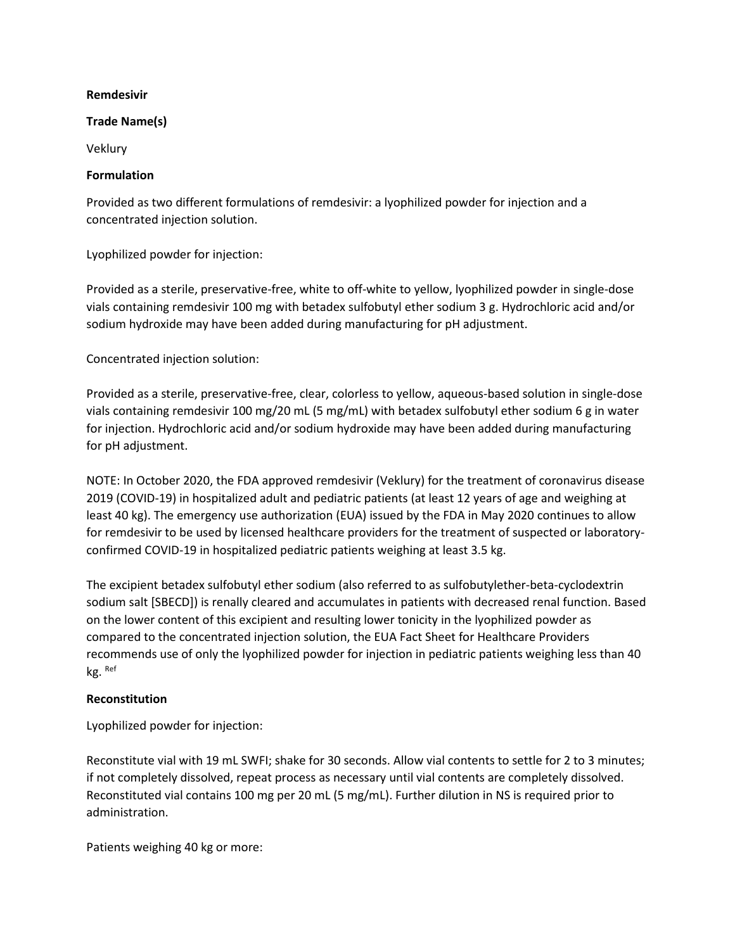#### **Remdesivir**

### **Trade Name(s)**

Veklury

### **Formulation**

Provided as two different formulations of remdesivir: a lyophilized powder for injection and a concentrated injection solution.

Lyophilized powder for injection:

Provided as a sterile, preservative-free, white to off-white to yellow, lyophilized powder in single-dose vials containing remdesivir 100 mg with betadex sulfobutyl ether sodium 3 g. Hydrochloric acid and/or sodium hydroxide may have been added during manufacturing for pH adjustment.

Concentrated injection solution:

Provided as a sterile, preservative-free, clear, colorless to yellow, aqueous-based solution in single-dose vials containing remdesivir 100 mg/20 mL (5 mg/mL) with betadex sulfobutyl ether sodium 6 g in water for injection. Hydrochloric acid and/or sodium hydroxide may have been added during manufacturing for pH adjustment.

NOTE: In October 2020, the FDA approved remdesivir (Veklury) for the treatment of coronavirus disease 2019 (COVID-19) in hospitalized adult and pediatric patients (at least 12 years of age and weighing at least 40 kg). The emergency use authorization (EUA) issued by the FDA in May 2020 continues to allow for remdesivir to be used by licensed healthcare providers for the treatment of suspected or laboratoryconfirmed COVID-19 in hospitalized pediatric patients weighing at least 3.5 kg.

The excipient betadex sulfobutyl ether sodium (also referred to as sulfobutylether-beta-cyclodextrin sodium salt [SBECD]) is renally cleared and accumulates in patients with decreased renal function. Based on the lower content of this excipient and resulting lower tonicity in the lyophilized powder as compared to the concentrated injection solution, the EUA Fact Sheet for Healthcare Providers recommends use of only the lyophilized powder for injection in pediatric patients weighing less than 40 kg. Ref

### **Reconstitution**

Lyophilized powder for injection:

Reconstitute vial with 19 mL SWFI; shake for 30 seconds. Allow vial contents to settle for 2 to 3 minutes; if not completely dissolved, repeat process as necessary until vial contents are completely dissolved. Reconstituted vial contains 100 mg per 20 mL (5 mg/mL). Further dilution in NS is required prior to administration.

Patients weighing 40 kg or more: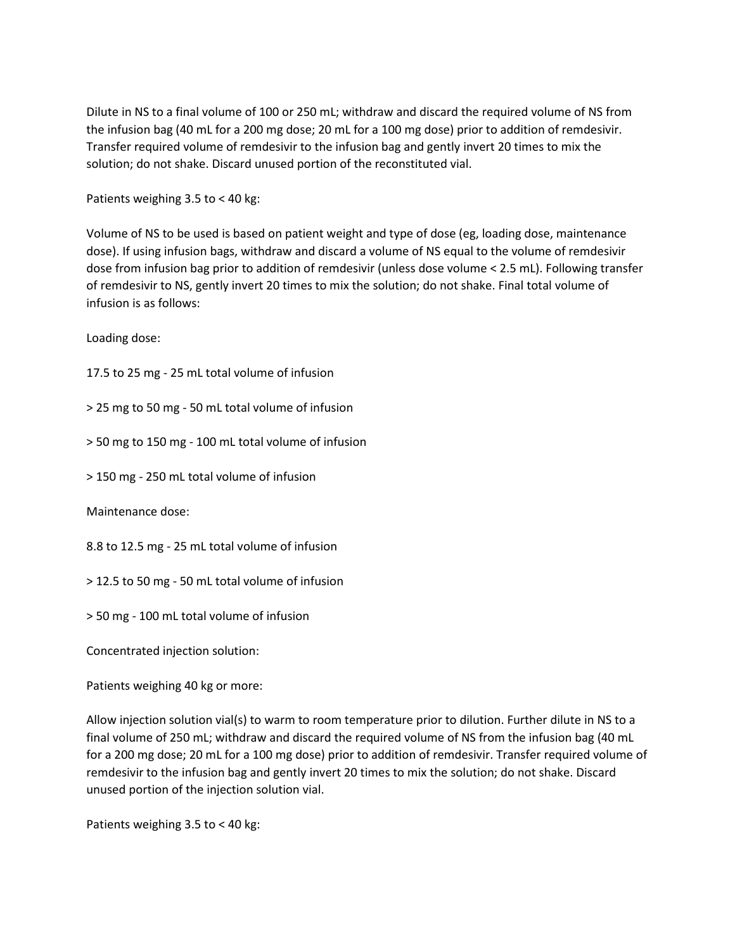Dilute in NS to a final volume of 100 or 250 mL; withdraw and discard the required volume of NS from the infusion bag (40 mL for a 200 mg dose; 20 mL for a 100 mg dose) prior to addition of remdesivir. Transfer required volume of remdesivir to the infusion bag and gently invert 20 times to mix the solution; do not shake. Discard unused portion of the reconstituted vial.

Patients weighing 3.5 to < 40 kg:

Volume of NS to be used is based on patient weight and type of dose (eg, loading dose, maintenance dose). If using infusion bags, withdraw and discard a volume of NS equal to the volume of remdesivir dose from infusion bag prior to addition of remdesivir (unless dose volume < 2.5 mL). Following transfer of remdesivir to NS, gently invert 20 times to mix the solution; do not shake. Final total volume of infusion is as follows:

Loading dose:

17.5 to 25 mg - 25 mL total volume of infusion

> 25 mg to 50 mg - 50 mL total volume of infusion

> 50 mg to 150 mg - 100 mL total volume of infusion

> 150 mg - 250 mL total volume of infusion

Maintenance dose:

8.8 to 12.5 mg - 25 mL total volume of infusion

> 12.5 to 50 mg - 50 mL total volume of infusion

> 50 mg - 100 mL total volume of infusion

Concentrated injection solution:

Patients weighing 40 kg or more:

Allow injection solution vial(s) to warm to room temperature prior to dilution. Further dilute in NS to a final volume of 250 mL; withdraw and discard the required volume of NS from the infusion bag (40 mL for a 200 mg dose; 20 mL for a 100 mg dose) prior to addition of remdesivir. Transfer required volume of remdesivir to the infusion bag and gently invert 20 times to mix the solution; do not shake. Discard unused portion of the injection solution vial.

Patients weighing 3.5 to < 40 kg: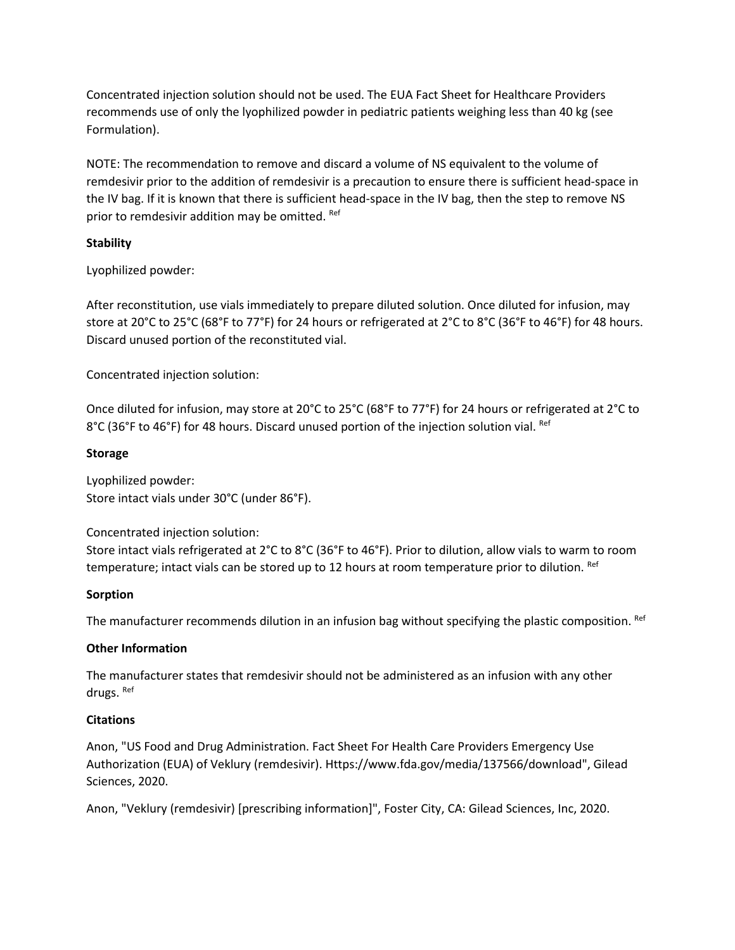Concentrated injection solution should not be used. The EUA Fact Sheet for Healthcare Providers recommends use of only the lyophilized powder in pediatric patients weighing less than 40 kg (see Formulation).

NOTE: The recommendation to remove and discard a volume of NS equivalent to the volume of remdesivir prior to the addition of remdesivir is a precaution to ensure there is sufficient head-space in the IV bag. If it is known that there is sufficient head-space in the IV bag, then the step to remove NS prior to remdesivir addition may be omitted. Ref

## **Stability**

Lyophilized powder:

After reconstitution, use vials immediately to prepare diluted solution. Once diluted for infusion, may store at 20°C to 25°C (68°F to 77°F) for 24 hours or refrigerated at 2°C to 8°C (36°F to 46°F) for 48 hours. Discard unused portion of the reconstituted vial.

Concentrated injection solution:

Once diluted for infusion, may store at 20°C to 25°C (68°F to 77°F) for 24 hours or refrigerated at 2°C to 8°C (36°F to 46°F) for 48 hours. Discard unused portion of the injection solution vial. Ref

### **Storage**

Lyophilized powder: Store intact vials under 30°C (under 86°F).

Concentrated injection solution:

Store intact vials refrigerated at 2°C to 8°C (36°F to 46°F). Prior to dilution, allow vials to warm to room temperature; intact vials can be stored up to 12 hours at room temperature prior to dilution. Ref

### **Sorption**

The manufacturer recommends dilution in an infusion bag without specifying the plastic composition. Ref

# **Other Information**

The manufacturer states that remdesivir should not be administered as an infusion with any other drugs. Ref

# **Citations**

Anon, "US Food and Drug Administration. Fact Sheet For Health Care Providers Emergency Use Authorization (EUA) of Veklury (remdesivir). Https://www.fda.gov/media/137566/download", Gilead Sciences, 2020.

Anon, "Veklury (remdesivir) [prescribing information]", Foster City, CA: Gilead Sciences, Inc, 2020.